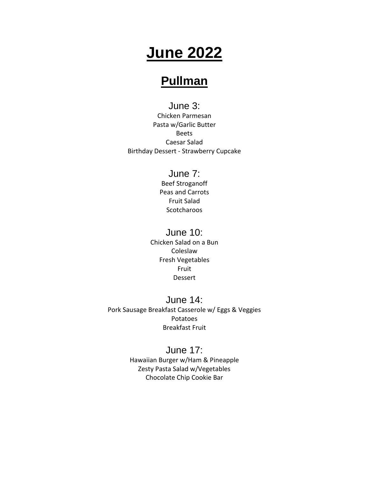# **June 2022**

## **Pullman**

June 3: Chicken Parmesan Pasta w/Garlic Butter Beets Caesar Salad Birthday Dessert - Strawberry Cupcake

## June 7:

Beef Stroganoff Peas and Carrots Fruit Salad **Scotcharoos** 

#### June 10:

Chicken Salad on a Bun Coleslaw Fresh Vegetables Fruit Dessert

June 14: Pork Sausage Breakfast Casserole w/ Eggs & Veggies Potatoes Breakfast Fruit

## June 17:

Hawaiian Burger w/Ham & Pineapple Zesty Pasta Salad w/Vegetables Chocolate Chip Cookie Bar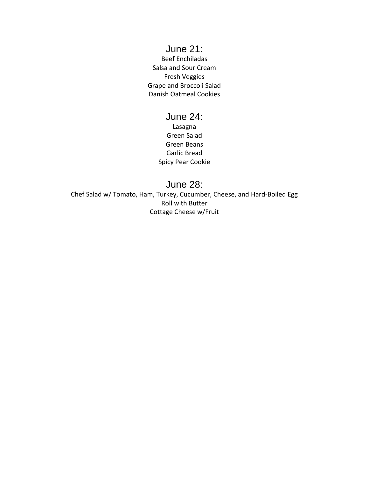### June 21:

Beef Enchiladas Salsa and Sour Cream Fresh Veggies Grape and Broccoli Salad Danish Oatmeal Cookies

#### June 24:

Lasagna Green Salad Green Beans Garlic Bread Spicy Pear Cookie

#### June 28:

Chef Salad w/ Tomato, Ham, Turkey, Cucumber, Cheese, and Hard-Boiled Egg Roll with Butter Cottage Cheese w/Fruit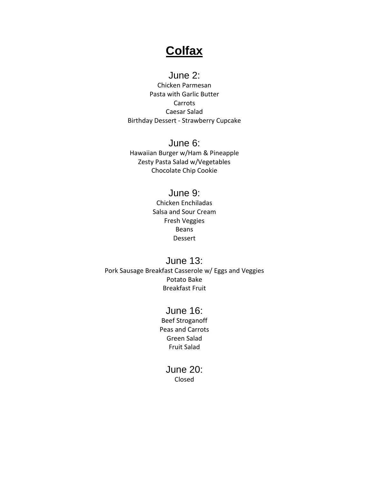## **Colfax**

## June 2:

Chicken Parmesan Pasta with Garlic Butter Carrots Caesar Salad Birthday Dessert - Strawberry Cupcake

#### June 6:

Hawaiian Burger w/Ham & Pineapple Zesty Pasta Salad w/Vegetables Chocolate Chip Cookie

### June 9:

Chicken Enchiladas Salsa and Sour Cream Fresh Veggies Beans Dessert

June 13: Pork Sausage Breakfast Casserole w/ Eggs and Veggies Potato Bake Breakfast Fruit

### June 16:

Beef Stroganoff Peas and Carrots Green Salad Fruit Salad

#### June 20: Closed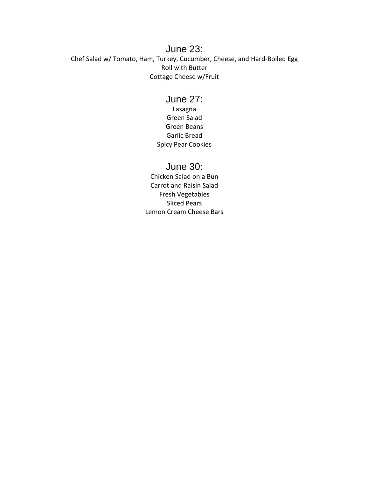#### June 23: Chef Salad w/ Tomato, Ham, Turkey, Cucumber, Cheese, and Hard-Boiled Egg Roll with Butter Cottage Cheese w/Fruit

### June 27:

Lasagna Green Salad Green Beans Garlic Bread Spicy Pear Cookies

#### June 30:

Chicken Salad on a Bun Carrot and Raisin Salad Fresh Vegetables Sliced Pears Lemon Cream Cheese Bars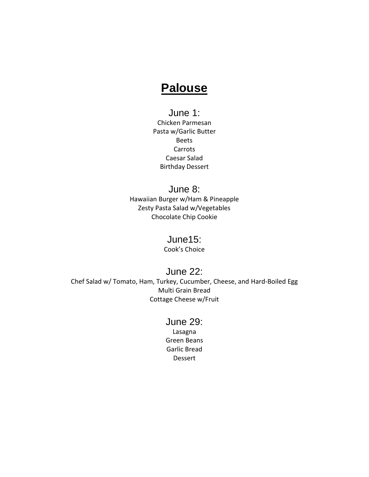## **Palouse**

## June 1:

Chicken Parmesan Pasta w/Garlic Butter Beets Carrots Caesar Salad Birthday Dessert

### June 8:

Hawaiian Burger w/Ham & Pineapple Zesty Pasta Salad w/Vegetables Chocolate Chip Cookie

#### June15:

Cook's Choice

#### June 22:

Chef Salad w/ Tomato, Ham, Turkey, Cucumber, Cheese, and Hard-Boiled Egg Multi Grain Bread Cottage Cheese w/Fruit

#### June 29:

Lasagna Green Beans Garlic Bread Dessert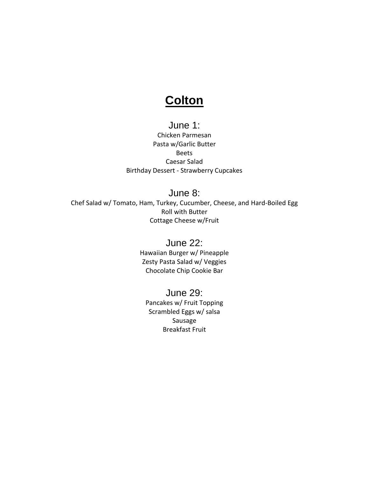## **Colton**

#### June 1:

Chicken Parmesan Pasta w/Garlic Butter Beets Caesar Salad Birthday Dessert - Strawberry Cupcakes

### June 8:

Chef Salad w/ Tomato, Ham, Turkey, Cucumber, Cheese, and Hard-Boiled Egg Roll with Butter Cottage Cheese w/Fruit

#### June 22:

Hawaiian Burger w/ Pineapple Zesty Pasta Salad w/ Veggies Chocolate Chip Cookie Bar

### June 29:

Pancakes w/ Fruit Topping Scrambled Eggs w/ salsa Sausage Breakfast Fruit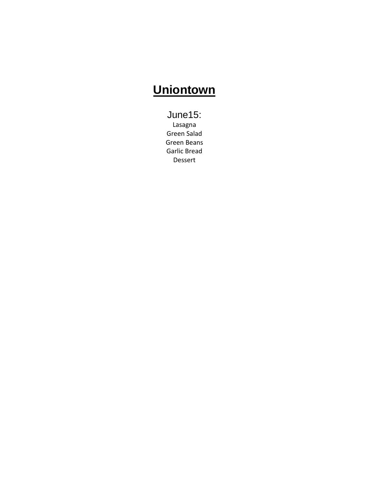## **Uniontown**

June15: Lasagna Green Salad Green Beans Garlic Bread Dessert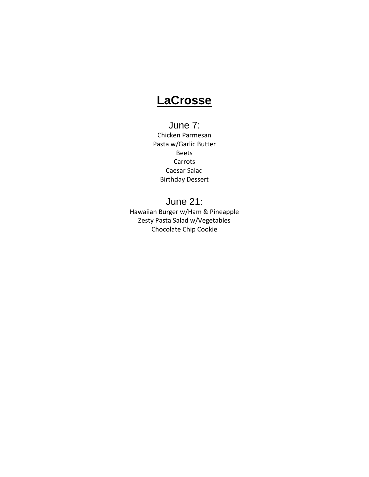## **LaCrosse**

## June 7:

Chicken Parmesan Pasta w/Garlic Butter Beets Carrots Caesar Salad Birthday Dessert

### June 21:

Hawaiian Burger w/Ham & Pineapple Zesty Pasta Salad w/Vegetables Chocolate Chip Cookie